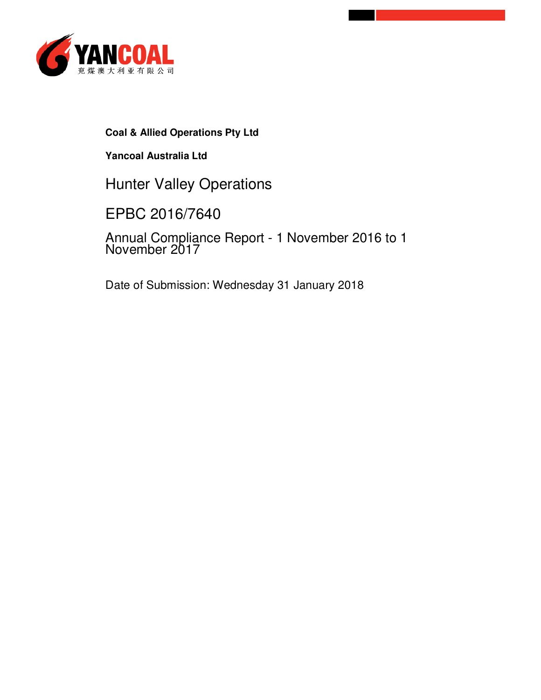

# **Coal & Allied Operations Pty Ltd**

**Yancoal Australia Ltd** 

Hunter Valley Operations

EPBC 2016/7640

Annual Compliance Report - 1 November 2016 to 1 November 2017

Date of Submission: Wednesday 31 January 2018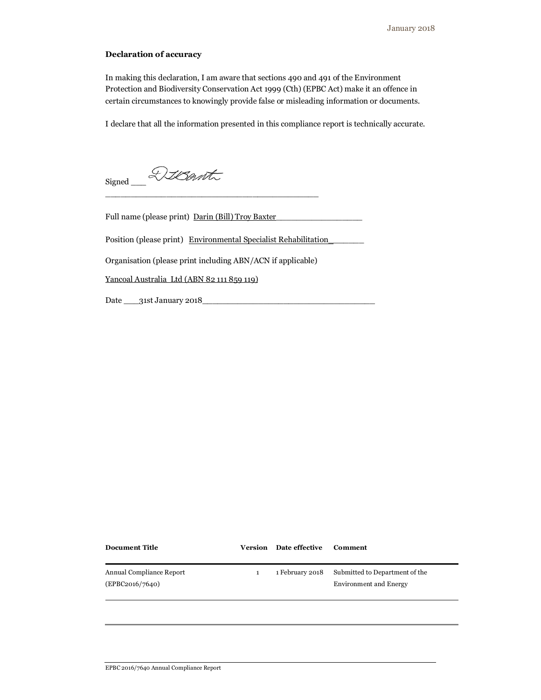#### **Declaration of accuracy**

In making this declaration, I am aware that sections 490 and 491 of the Environment Protection and Biodiversity Conservation Act 1999 (Cth) (EPBC Act) make it an offence in certain circumstances to knowingly provide false or misleading information or documents.

I declare that all the information presented in this compliance report is technically accurate.

Signed 221Bonth

Full name (please print) Darin (Bill) Troy Baxter

\_\_\_\_\_\_\_\_\_\_\_\_\_\_\_\_\_\_\_\_\_\_\_\_\_\_\_\_\_\_\_\_\_\_\_\_\_\_\_\_\_\_

Position (please print) Environmental Specialist Rehabilitation

Organisation (please print including ABN/ACN if applicable)

Yancoal Australia Ltd (ABN 82 111 859 119)

Date \_\_\_31st January 2018\_\_\_\_\_\_\_\_\_\_\_\_\_\_\_\_\_\_\_\_\_\_\_\_\_\_\_\_\_\_\_\_\_\_

| <b>Document Title</b>                              |   | <b>Version</b> Date effective | Comment                                                  |
|----------------------------------------------------|---|-------------------------------|----------------------------------------------------------|
| <b>Annual Compliance Report</b><br>(EPBC2016/7640) | 1 | 1 February 2018               | Submitted to Department of the<br>Environment and Energy |
|                                                    |   |                               |                                                          |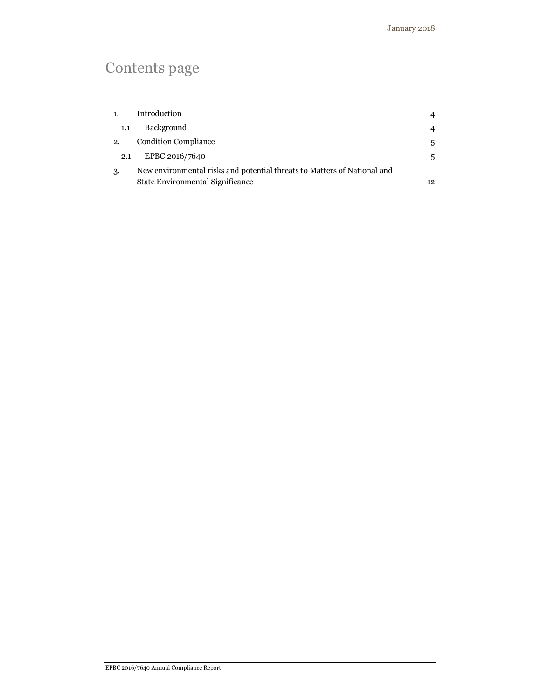# Contents page

| 1.  | Introduction                                                             | 4  |
|-----|--------------------------------------------------------------------------|----|
| 1.1 | <b>Background</b>                                                        | 4  |
| 2.  | <b>Condition Compliance</b>                                              | 5  |
| 2.1 | EPBC 2016/7640                                                           | 5  |
| 3.  | New environmental risks and potential threats to Matters of National and |    |
|     | State Environmental Significance                                         | 12 |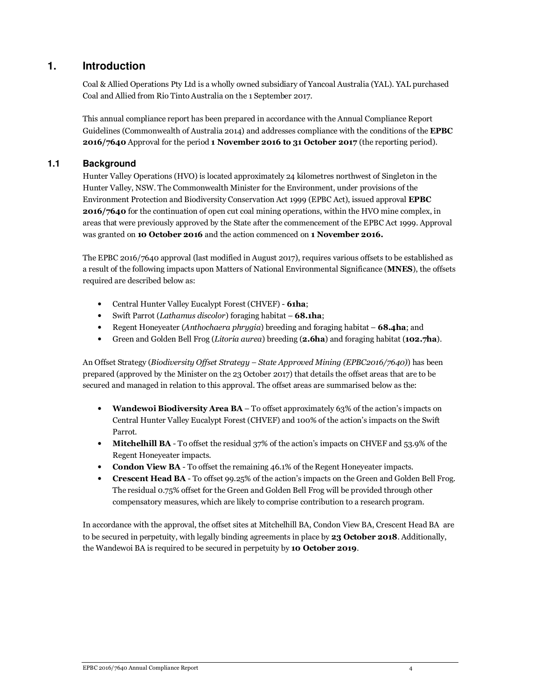## **1. Introduction**

Coal & Allied Operations Pty Ltd is a wholly owned subsidiary of Yancoal Australia (YAL). YAL purchased Coal and Allied from Rio Tinto Australia on the 1 September 2017.

This annual compliance report has been prepared in accordance with the Annual Compliance Report Guidelines (Commonwealth of Australia 2014) and addresses compliance with the conditions of the **EPBC 2016/7640** Approval for the period **1 November 2016 to 31 October 2017** (the reporting period).

#### **1.1 Background**

Hunter Valley Operations (HVO) is located approximately 24 kilometres northwest of Singleton in the Hunter Valley, NSW. The Commonwealth Minister for the Environment, under provisions of the Environment Protection and Biodiversity Conservation Act 1999 (EPBC Act), issued approval **EPBC 2016/7640** for the continuation of open cut coal mining operations, within the HVO mine complex, in areas that were previously approved by the State after the commencement of the EPBC Act 1999. Approval was granted on **10 October 2016** and the action commenced on **1 November 2016.**

The EPBC 2016/7640 approval (last modified in August 2017), requires various offsets to be established as a result of the following impacts upon Matters of National Environmental Significance (**MNES**), the offsets required are described below as:

- Central Hunter Valley Eucalypt Forest (CHVEF) **61ha**;
- Swift Parrot (*Lathamus discolor*) foraging habitat **68.1ha**;
- Regent Honeyeater (*Anthochaera phrygia*) breeding and foraging habitat **68.4ha**; and
- Green and Golden Bell Frog (*Litoria aurea*) breeding (**2.6ha**) and foraging habitat (**102.7ha**).

An Offset Strategy (*Biodiversity Offset Strategy – State Approved Mining (EPBC2016/7640)*) has been prepared (approved by the Minister on the 23 October 2017) that details the offset areas that are to be secured and managed in relation to this approval. The offset areas are summarised below as the:

- **Wandewoi Biodiversity Area BA** To offset approximately 63% of the action's impacts on Central Hunter Valley Eucalypt Forest (CHVEF) and 100% of the action's impacts on the Swift Parrot.
- **Mitchelhill BA** To offset the residual 37% of the action's impacts on CHVEF and 53.9% of the Regent Honeyeater impacts.
- **Condon View BA**  To offset the remaining 46.1% of the Regent Honeyeater impacts.
- **Crescent Head BA** To offset 99.25% of the action's impacts on the Green and Golden Bell Frog. The residual 0.75% offset for the Green and Golden Bell Frog will be provided through other compensatory measures, which are likely to comprise contribution to a research program.

In accordance with the approval, the offset sites at Mitchelhill BA, Condon View BA, Crescent Head BA are to be secured in perpetuity, with legally binding agreements in place by **23 October 2018**. Additionally, the Wandewoi BA is required to be secured in perpetuity by **10 October 2019**.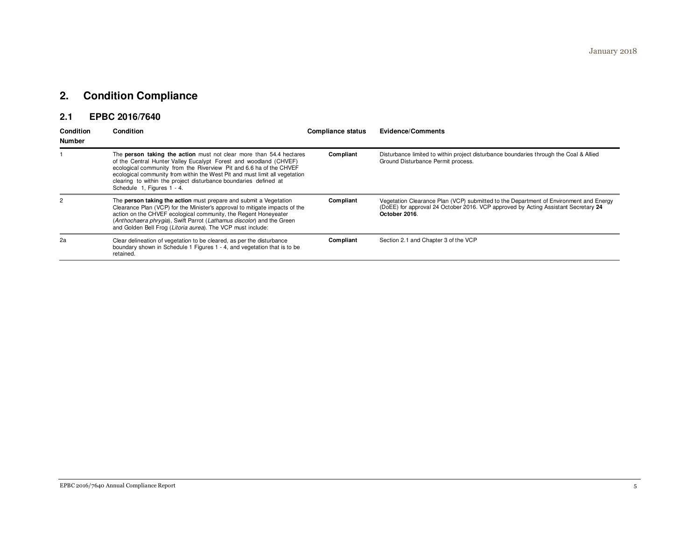January 2018

## **2. Condition Compliance**

### **2.1 EPBC 2016/7640**

| <b>Condition</b> | Condition                                                                                                                                                                                                                                                                                                                                                                                               | <b>Compliance status</b> | <b>Evidence/Comments</b>                                                                                                                                                                     |
|------------------|---------------------------------------------------------------------------------------------------------------------------------------------------------------------------------------------------------------------------------------------------------------------------------------------------------------------------------------------------------------------------------------------------------|--------------------------|----------------------------------------------------------------------------------------------------------------------------------------------------------------------------------------------|
| <b>Number</b>    |                                                                                                                                                                                                                                                                                                                                                                                                         |                          |                                                                                                                                                                                              |
|                  | The <b>person taking the action</b> must not clear more than 54.4 hectares<br>of the Central Hunter Valley Eucalypt Forest and woodland (CHVEF)<br>ecological community from the Riverview Pit and 6.6 ha of the CHVEF<br>ecological community from within the West Pit and must limit all vegetation<br>clearing to within the project disturbance boundaries defined at<br>Schedule 1, Figures 1 - 4. | Compliant                | Disturbance limited to within project disturbance boundaries through the Coal & Allied<br>Ground Disturbance Permit process.                                                                 |
|                  | The <b>person taking the action</b> must prepare and submit a Vegetation<br>Clearance Plan (VCP) for the Minister's approval to mitigate impacts of the<br>action on the CHVEF ecological community, the Regent Honeyeater<br>(Anthochaera phrygia), Swift Parrot (Lathamus discolor) and the Green<br>and Golden Bell Frog (Litoria aurea). The VCP must include:                                      | Compliant                | Vegetation Clearance Plan (VCP) submitted to the Department of Environment and Energy<br>(DoEE) for approval 24 October 2016. VCP approved by Acting Assistant Secretary 24<br>October 2016. |
| 2a               | Clear delineation of vegetation to be cleared, as per the disturbance<br>boundary shown in Schedule 1 Figures 1 - 4, and vegetation that is to be<br>retained.                                                                                                                                                                                                                                          | Compliant                | Section 2.1 and Chapter 3 of the VCP                                                                                                                                                         |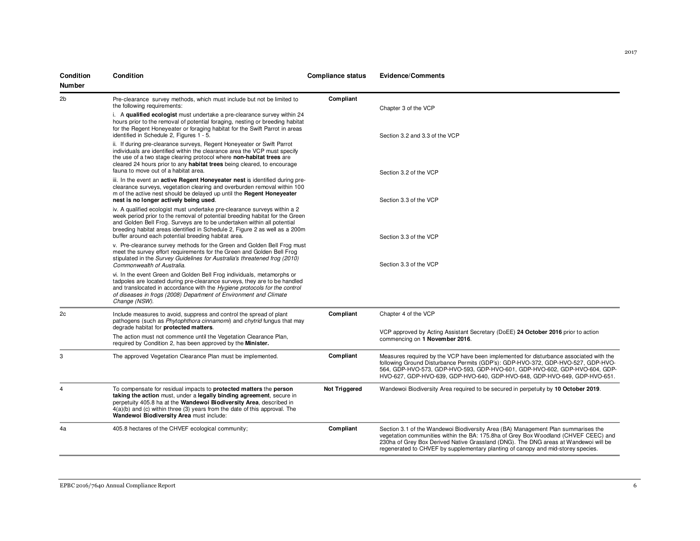| Condition | <b>Condition</b>                                                                                                                                                                                                                                                                                                                                                           | <b>Compliance status</b> | <b>Evidence/Comments</b>                                                                                                                                                                                                                                                                                                                            |
|-----------|----------------------------------------------------------------------------------------------------------------------------------------------------------------------------------------------------------------------------------------------------------------------------------------------------------------------------------------------------------------------------|--------------------------|-----------------------------------------------------------------------------------------------------------------------------------------------------------------------------------------------------------------------------------------------------------------------------------------------------------------------------------------------------|
| Number    |                                                                                                                                                                                                                                                                                                                                                                            |                          |                                                                                                                                                                                                                                                                                                                                                     |
| 2b        | Pre-clearance survey methods, which must include but not be limited to<br>the following requirements:                                                                                                                                                                                                                                                                      | Compliant                | Chapter 3 of the VCP                                                                                                                                                                                                                                                                                                                                |
|           | i. A qualified ecologist must undertake a pre-clearance survey within 24<br>hours prior to the removal of potential foraging, nesting or breeding habitat<br>for the Regent Honeyeater or foraging habitat for the Swift Parrot in areas<br>identified in Schedule 2, Figures 1 - 5.                                                                                       |                          | Section 3.2 and 3.3 of the VCP                                                                                                                                                                                                                                                                                                                      |
|           | ii. If during pre-clearance surveys, Regent Honeyeater or Swift Parrot<br>individuals are identified within the clearance area the VCP must specify<br>the use of a two stage clearing protocol where non-habitat trees are<br>cleared 24 hours prior to any habitat trees being cleared, to encourage<br>fauna to move out of a habitat area.                             |                          | Section 3.2 of the VCP                                                                                                                                                                                                                                                                                                                              |
|           | iii. In the event an <b>active Regent Honeyeater nest</b> is identified during pre-<br>clearance surveys, vegetation clearing and overburden removal within 100<br>m of the active nest should be delayed up until the <b>Regent Honeyeater</b><br>nest is no longer actively being used.                                                                                  |                          | Section 3.3 of the VCP                                                                                                                                                                                                                                                                                                                              |
|           | iv. A qualified ecologist must undertake pre-clearance surveys within a 2<br>week period prior to the removal of potential breeding habitat for the Green<br>and Golden Bell Frog. Surveys are to be undertaken within all potential<br>breeding habitat areas identified in Schedule 2, Figure 2 as well as a 200m<br>buffer around each potential breeding habitat area. |                          | Section 3.3 of the VCP                                                                                                                                                                                                                                                                                                                              |
|           | v. Pre-clearance survey methods for the Green and Golden Bell Frog must<br>meet the survey effort requirements for the Green and Golden Bell Frog<br>stipulated in the Survey Guidelines for Australia's threatened frog (2010)<br>Commonwealth of Australia.                                                                                                              |                          | Section 3.3 of the VCP                                                                                                                                                                                                                                                                                                                              |
|           | vi. In the event Green and Golden Bell Frog individuals, metamorphs or<br>tadpoles are located during pre-clearance surveys, they are to be handled<br>and translocated in accordance with the Hygiene protocols for the control<br>of diseases in frogs (2008) Department of Environment and Climate<br>Change (NSW).                                                     |                          |                                                                                                                                                                                                                                                                                                                                                     |
| 2c        | Include measures to avoid, suppress and control the spread of plant<br>pathogens (such as Phytophthora cinnamomi) and chytrid fungus that may<br>degrade habitat for protected matters.                                                                                                                                                                                    | Compliant                | Chapter 4 of the VCP                                                                                                                                                                                                                                                                                                                                |
|           | The action must not commence until the Vegetation Clearance Plan,<br>required by Condition 2, has been approved by the Minister.                                                                                                                                                                                                                                           |                          | VCP approved by Acting Assistant Secretary (DoEE) 24 October 2016 prior to action<br>commencing on 1 November 2016.                                                                                                                                                                                                                                 |
| 3         | The approved Vegetation Clearance Plan must be implemented.                                                                                                                                                                                                                                                                                                                | Compliant                | Measures required by the VCP have been implemented for disturbance associated with the<br>following Ground Disturbance Permits (GDP's): GDP-HVO-372, GDP-HVO-527, GDP-HVO-<br>564, GDP-HVO-573, GDP-HVO-593, GDP-HVO-601, GDP-HVO-602, GDP-HVO-604, GDP-<br>HVO-627, GDP-HVO-639, GDP-HVO-640, GDP-HVO-648, GDP-HVO-649, GDP-HVO-651.               |
| 4         | To compensate for residual impacts to protected matters the person<br>taking the action must, under a legally binding agreement, secure in<br>perpetuity 405.8 ha at the Wandewoi Biodiversity Area, described in<br>$4(a)(b)$ and (c) within three (3) years from the date of this approval. The<br>Wandewol Biodiversity Area must include:                              | Not Triggered            | Wandewoi Biodiversity Area required to be secured in perpetuity by 10 October 2019.                                                                                                                                                                                                                                                                 |
| 4a        | 405.8 hectares of the CHVEF ecological community;                                                                                                                                                                                                                                                                                                                          | Compliant                | Section 3.1 of the Wandewoi Biodiversity Area (BA) Management Plan summarises the<br>vegetation communities within the BA: 175.8ha of Grey Box Woodland (CHVEF CEEC) and<br>230ha of Grey Box Derived Native Grassland (DNG). The DNG areas at Wandewoi will be<br>regenerated to CHVEF by supplementary planting of canopy and mid-storey species. |

2017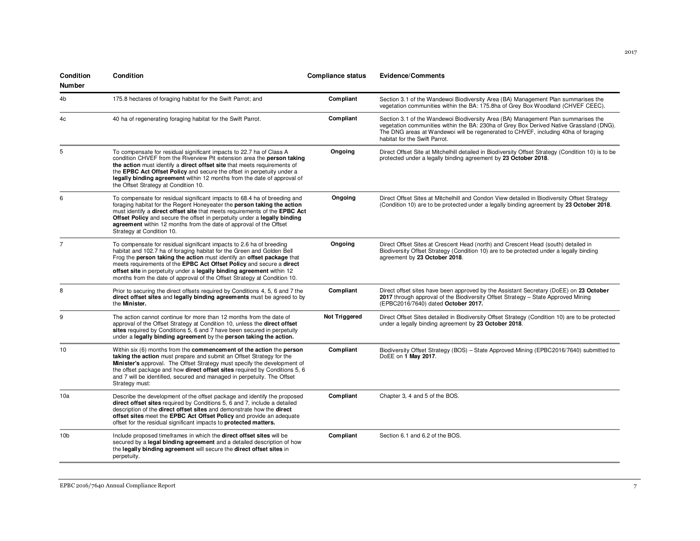| Condition<br><b>Number</b> | Condition                                                                                                                                                                                                                                                                                                                                                                                                                                             | <b>Compliance status</b> | <b>Evidence/Comments</b>                                                                                                                                                                                                                                                                            |
|----------------------------|-------------------------------------------------------------------------------------------------------------------------------------------------------------------------------------------------------------------------------------------------------------------------------------------------------------------------------------------------------------------------------------------------------------------------------------------------------|--------------------------|-----------------------------------------------------------------------------------------------------------------------------------------------------------------------------------------------------------------------------------------------------------------------------------------------------|
| 4b                         | 175.8 hectares of foraging habitat for the Swift Parrot; and                                                                                                                                                                                                                                                                                                                                                                                          | Compliant                | Section 3.1 of the Wandewoi Biodiversity Area (BA) Management Plan summarises the<br>vegetation communities within the BA: 175.8ha of Grey Box Woodland (CHVEF CEEC).                                                                                                                               |
| 4c                         | 40 ha of regenerating foraging habitat for the Swift Parrot.                                                                                                                                                                                                                                                                                                                                                                                          | Compliant                | Section 3.1 of the Wandewoi Biodiversity Area (BA) Management Plan summarises the<br>vegetation communities within the BA: 230ha of Grey Box Derived Native Grassland (DNG).<br>The DNG areas at Wandewoi will be regenerated to CHVEF, including 40ha of foraging<br>habitat for the Swift Parrot. |
| 5                          | To compensate for residual significant impacts to 22.7 ha of Class A<br>condition CHVEF from the Riverview Pit extension area the person taking<br>the action must identify a direct offset site that meets requirements of<br>the EPBC Act Offset Policy and secure the offset in perpetuity under a<br>legally binding agreement within 12 months from the date of approval of<br>the Offset Strategy at Condition 10.                              | Ongoing                  | Direct Offset Site at Mitchelhill detailed in Biodiversity Offset Strategy (Condition 10) is to be<br>protected under a legally binding agreement by 23 October 2018.                                                                                                                               |
| 6                          | To compensate for residual significant impacts to 68.4 ha of breeding and<br>foraging habitat for the Regent Honeyeater the person taking the action<br>must identify a <b>direct offset site</b> that meets requirements of the <b>EPBC</b> Act<br>Offset Policy and secure the offset in perpetuity under a legally binding<br>agreement within 12 months from the date of approval of the Offset<br>Strategy at Condition 10.                      | Ongoing                  | Direct Offset Sites at Mitchelhill and Condon View detailed in Biodiversity Offset Strategy<br>(Condition 10) are to be protected under a legally binding agreement by 23 October 2018.                                                                                                             |
| 7                          | To compensate for residual significant impacts to 2.6 ha of breeding<br>habitat and 102.7 ha of foraging habitat for the Green and Golden Bell<br>Frog the person taking the action must identify an offset package that<br>meets requirements of the EPBC Act Offset Policy and secure a direct<br>offset site in perpetuity under a legally binding agreement within 12<br>months from the date of approval of the Offset Strategy at Condition 10. | Ongoing                  | Direct Offset Sites at Crescent Head (north) and Crescent Head (south) detailed in<br>Biodiversity Offset Strategy (Condition 10) are to be protected under a legally binding<br>agreement by 23 October 2018.                                                                                      |
| 8                          | Prior to securing the direct offsets required by Conditions 4, 5, 6 and 7 the<br>direct offset sites and legally binding agreements must be agreed to by<br>the Minister.                                                                                                                                                                                                                                                                             | Compliant                | Direct offset sites have been approved by the Assistant Secretary (DoEE) on 23 October<br>2017 through approval of the Biodiversity Offset Strategy - State Approved Mining<br>(EPBC2016/7640) dated October 2017.                                                                                  |
| 9                          | The action cannot continue for more than 12 months from the date of<br>approval of the Offset Strategy at Condition 10, unless the <b>direct offset</b><br>sites required by Conditions 5, 6 and 7 have been secured in perpetuity<br>under a legally binding agreement by the person taking the action.                                                                                                                                              | Not Triggered            | Direct Offset Sites detailed in Biodiversity Offset Strategy (Condition 10) are to be protected<br>under a legally binding agreement by 23 October 2018.                                                                                                                                            |
| 10                         | Within six (6) months from the <b>commencement of the action</b> the <b>person</b><br>taking the action must prepare and submit an Offset Strategy for the<br>Minister's approval. The Offset Strategy must specify the development of<br>the offset package and how direct offset sites required by Conditions 5, 6<br>and 7 will be identified, secured and managed in perpetuity. The Offset<br>Strategy must:                                     | Compliant                | Biodiversity Offset Strategy (BOS) – State Approved Mining (EPBC2016/7640) submitted to<br>DoEE on 1 May 2017.                                                                                                                                                                                      |
| 10a                        | Describe the development of the offset package and identify the proposed<br>direct offset sites required by Conditions 5, 6 and 7, include a detailed<br>description of the direct offset sites and demonstrate how the direct<br>offset sites meet the EPBC Act Offset Policy and provide an adequate<br>offset for the residual significant impacts to protected matters.                                                                           | Compliant                | Chapter 3, 4 and 5 of the BOS.                                                                                                                                                                                                                                                                      |
| 10 <sub>b</sub>            | Include proposed timeframes in which the <b>direct offset sites</b> will be<br>secured by a legal binding agreement and a detailed description of how<br>the legally binding agreement will secure the direct offset sites in<br>perpetuity.                                                                                                                                                                                                          | Compliant                | Section 6.1 and 6.2 of the BOS.                                                                                                                                                                                                                                                                     |

2017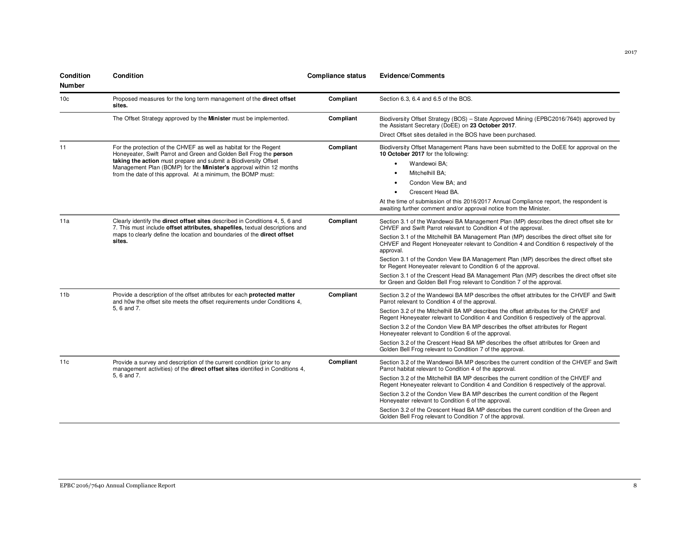| Condition<br>Number | Condition                                                                                                                                                                                                                                                                                                                                                | <b>Compliance status</b> | <b>Evidence/Comments</b>                                                                                                                                                                                                                                                                                                                                                                                                                                                                                                                                                                                                                                                                                |
|---------------------|----------------------------------------------------------------------------------------------------------------------------------------------------------------------------------------------------------------------------------------------------------------------------------------------------------------------------------------------------------|--------------------------|---------------------------------------------------------------------------------------------------------------------------------------------------------------------------------------------------------------------------------------------------------------------------------------------------------------------------------------------------------------------------------------------------------------------------------------------------------------------------------------------------------------------------------------------------------------------------------------------------------------------------------------------------------------------------------------------------------|
| 10 <sub>c</sub>     | Proposed measures for the long term management of the direct offset<br>sites.                                                                                                                                                                                                                                                                            | Compliant                | Section 6.3, 6.4 and 6.5 of the BOS.                                                                                                                                                                                                                                                                                                                                                                                                                                                                                                                                                                                                                                                                    |
|                     | The Offset Strategy approved by the <b>Minister</b> must be implemented.                                                                                                                                                                                                                                                                                 | Compliant                | Biodiversity Offset Strategy (BOS) – State Approved Mining (EPBC2016/7640) approved by<br>the Assistant Secretary (DoEE) on 23 October 2017.                                                                                                                                                                                                                                                                                                                                                                                                                                                                                                                                                            |
|                     |                                                                                                                                                                                                                                                                                                                                                          |                          | Direct Offset sites detailed in the BOS have been purchased.                                                                                                                                                                                                                                                                                                                                                                                                                                                                                                                                                                                                                                            |
| 11                  | For the protection of the CHVEF as well as habitat for the Regent<br>Honeyeater, Swift Parrot and Green and Golden Bell Frog the person<br>taking the action must prepare and submit a Biodiversity Offset<br>Management Plan (BOMP) for the <b>Minister's</b> approval within 12 months<br>from the date of this approval. At a minimum, the BOMP must: | Compliant                | Biodiversity Offset Management Plans have been submitted to the DoEE for approval on the<br>10 October 2017 for the following:<br>Wandewoi BA;<br>Mitchelhill BA:<br>Condon View BA; and<br>Crescent Head BA.<br>At the time of submission of this 2016/2017 Annual Compliance report, the respondent is<br>awaiting further comment and/or approval notice from the Minister.                                                                                                                                                                                                                                                                                                                          |
| 11a                 | Clearly identify the <b>direct offset sites</b> described in Conditions 4, 5, 6 and<br>7. This must include offset attributes, shapefiles, textual descriptions and<br>maps to clearly define the location and boundaries of the direct offset<br>sites.                                                                                                 | Compliant                | Section 3.1 of the Wandewoi BA Management Plan (MP) describes the direct offset site for<br>CHVEF and Swift Parrot relevant to Condition 4 of the approval.<br>Section 3.1 of the Mitchelhill BA Management Plan (MP) describes the direct offset site for<br>CHVEF and Regent Honeyeater relevant to Condition 4 and Condition 6 respectively of the<br>approval.<br>Section 3.1 of the Condon View BA Management Plan (MP) describes the direct offset site<br>for Regent Honeyeater relevant to Condition 6 of the approval.<br>Section 3.1 of the Crescent Head BA Management Plan (MP) describes the direct offset site<br>for Green and Golden Bell Frog relevant to Condition 7 of the approval. |
| 11 <sub>b</sub>     | Provide a description of the offset attributes for each protected matter<br>and h0w the offset site meets the offset requirements under Conditions 4,<br>5, 6 and 7.                                                                                                                                                                                     | Compliant                | Section 3.2 of the Wandewoi BA MP describes the offset attributes for the CHVEF and Swift<br>Parrot relevant to Condition 4 of the approval.<br>Section 3.2 of the Mitchelhill BA MP describes the offset attributes for the CHVEF and<br>Regent Honeyeater relevant to Condition 4 and Condition 6 respectively of the approval.<br>Section 3.2 of the Condon View BA MP describes the offset attributes for Regent<br>Honeyeater relevant to Condition 6 of the approval.<br>Section 3.2 of the Crescent Head BA MP describes the offset attributes for Green and<br>Golden Bell Frog relevant to Condition 7 of the approval.                                                                        |
| 11c                 | Provide a survey and description of the current condition (prior to any<br>management activities) of the direct offset sites identified in Conditions 4,<br>5.6 and 7.                                                                                                                                                                                   | Compliant                | Section 3.2 of the Wandewoi BA MP describes the current condition of the CHVEF and Swift<br>Parrot habitat relevant to Condition 4 of the approval.<br>Section 3.2 of the Mitchelhill BA MP describes the current condition of the CHVEF and<br>Regent Honeyeater relevant to Condition 4 and Condition 6 respectively of the approval.<br>Section 3.2 of the Condon View BA MP describes the current condition of the Regent<br>Honeyeater relevant to Condition 6 of the approval.<br>Section 3.2 of the Crescent Head BA MP describes the current condition of the Green and<br>Golden Bell Frog relevant to Condition 7 of the approval.                                                            |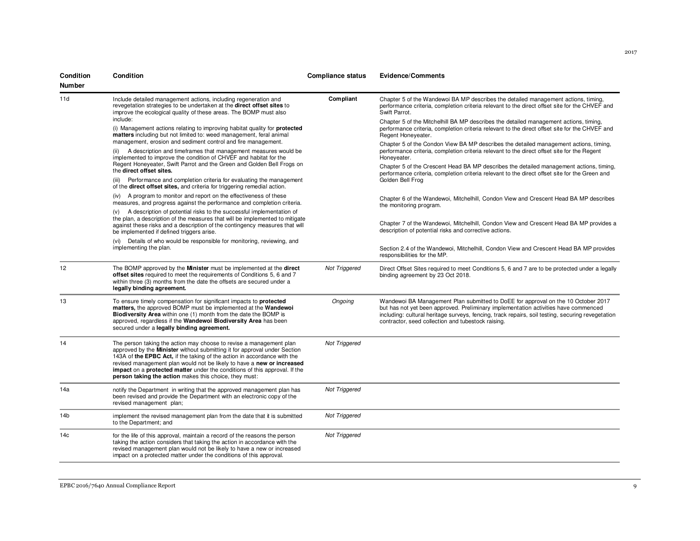| Condition | Condition                                                                                                                                                                                                                                                                                                                                                                                                                                                                           | <b>Compliance status</b> | <b>Evidence/Comments</b>                                                                                                                                                                                                                                                                                                            |
|-----------|-------------------------------------------------------------------------------------------------------------------------------------------------------------------------------------------------------------------------------------------------------------------------------------------------------------------------------------------------------------------------------------------------------------------------------------------------------------------------------------|--------------------------|-------------------------------------------------------------------------------------------------------------------------------------------------------------------------------------------------------------------------------------------------------------------------------------------------------------------------------------|
| Number    |                                                                                                                                                                                                                                                                                                                                                                                                                                                                                     |                          |                                                                                                                                                                                                                                                                                                                                     |
| 11d       | Include detailed management actions, including regeneration and<br>revegetation strategies to be undertaken at the direct offset sites to<br>improve the ecological quality of these areas. The BOMP must also                                                                                                                                                                                                                                                                      | Compliant                | Chapter 5 of the Wandewoi BA MP describes the detailed management actions, timing,<br>performance criteria, completion criteria relevant to the direct offset site for the CHVEF and<br>Swift Parrot.                                                                                                                               |
|           | include:<br>(i) Management actions relating to improving habitat quality for protected<br>matters including but not limited to: weed management, feral animal<br>management, erosion and sediment control and fire management.<br>A description and timeframes that management measures would be<br>(ii)<br>implemented to improve the condition of CHVEF and habitat for the<br>Regent Honeyeater, Swift Parrot and the Green and Golden Bell Frogs on<br>the direct offset sites. |                          | Chapter 5 of the Mitchelhill BA MP describes the detailed management actions, timing,<br>performance criteria, completion criteria relevant to the direct offset site for the CHVEF and<br>Regent Honeyeater.                                                                                                                       |
|           |                                                                                                                                                                                                                                                                                                                                                                                                                                                                                     |                          | Chapter 5 of the Condon View BA MP describes the detailed management actions, timing,<br>performance criteria, completion criteria relevant to the direct offset site for the Regent<br>Honeyeater.                                                                                                                                 |
|           |                                                                                                                                                                                                                                                                                                                                                                                                                                                                                     |                          | Chapter 5 of the Crescent Head BA MP describes the detailed management actions, timing,<br>performance criteria, completion criteria relevant to the direct offset site for the Green and                                                                                                                                           |
|           | (iii) Performance and completion criteria for evaluating the management<br>of the direct offset sites, and criteria for triggering remedial action.                                                                                                                                                                                                                                                                                                                                 |                          | Golden Bell Frog                                                                                                                                                                                                                                                                                                                    |
|           | (iv) A program to monitor and report on the effectiveness of these<br>measures, and progress against the performance and completion criteria.                                                                                                                                                                                                                                                                                                                                       |                          | Chapter 6 of the Wandewoi, Mitchelhill, Condon View and Crescent Head BA MP describes<br>the monitoring program.                                                                                                                                                                                                                    |
|           | (v) A description of potential risks to the successful implementation of<br>the plan, a description of the measures that will be implemented to mitigate                                                                                                                                                                                                                                                                                                                            |                          | Chapter 7 of the Wandewoi, Mitchelhill, Condon View and Crescent Head BA MP provides a                                                                                                                                                                                                                                              |
|           | against these risks and a description of the contingency measures that will<br>be implemented if defined triggers arise.                                                                                                                                                                                                                                                                                                                                                            |                          | description of potential risks and corrective actions.                                                                                                                                                                                                                                                                              |
|           | (vi) Details of who would be responsible for monitoring, reviewing, and<br>implementing the plan.                                                                                                                                                                                                                                                                                                                                                                                   |                          | Section 2.4 of the Wandewoi, Mitchelhill, Condon View and Crescent Head BA MP provides<br>responsibilities for the MP.                                                                                                                                                                                                              |
| 12        | The BOMP approved by the <b>Minister</b> must be implemented at the <b>direct</b><br>offset sites required to meet the requirements of Conditions 5, 6 and 7<br>within three (3) months from the date the offsets are secured under a<br>legally binding agreement.                                                                                                                                                                                                                 | Not Triggered            | Direct Offset Sites required to meet Conditions 5, 6 and 7 are to be protected under a legally<br>binding agreement by 23 Oct 2018.                                                                                                                                                                                                 |
| 13        | To ensure timely compensation for significant impacts to protected<br>matters, the approved BOMP must be implemented at the Wandewoi<br>Biodiversity Area within one (1) month from the date the BOMP is<br>approved, regardless if the Wandewoi Biodiversity Area has been<br>secured under a legally binding agreement.                                                                                                                                                           | Ongoing                  | Wandewoi BA Management Plan submitted to DoEE for approval on the 10 October 2017<br>but has not yet been approved. Preliminary implementation activities have commenced<br>including: cultural heritage surveys, fencing, track repairs, soil testing, securing revegetation<br>contractor, seed collection and tubestock raising. |
| 14        | The person taking the action may choose to revise a management plan<br>approved by the Minister without submitting it for approval under Section<br>143A of the EPBC Act, if the taking of the action in accordance with the<br>revised management plan would not be likely to have a new or increased<br>impact on a protected matter under the conditions of this approval. If the<br>person taking the action makes this choice, they must:                                      | Not Triggered            |                                                                                                                                                                                                                                                                                                                                     |
| 14a       | notify the Department in writing that the approved management plan has<br>been revised and provide the Department with an electronic copy of the<br>revised management plan;                                                                                                                                                                                                                                                                                                        | Not Triggered            |                                                                                                                                                                                                                                                                                                                                     |
| 14b       | implement the revised management plan from the date that it is submitted<br>to the Department; and                                                                                                                                                                                                                                                                                                                                                                                  | Not Triggered            |                                                                                                                                                                                                                                                                                                                                     |
| 14с       | for the life of this approval, maintain a record of the reasons the person<br>taking the action considers that taking the action in accordance with the<br>revised management plan would not be likely to have a new or increased<br>impact on a protected matter under the conditions of this approval.                                                                                                                                                                            | <b>Not Triggered</b>     |                                                                                                                                                                                                                                                                                                                                     |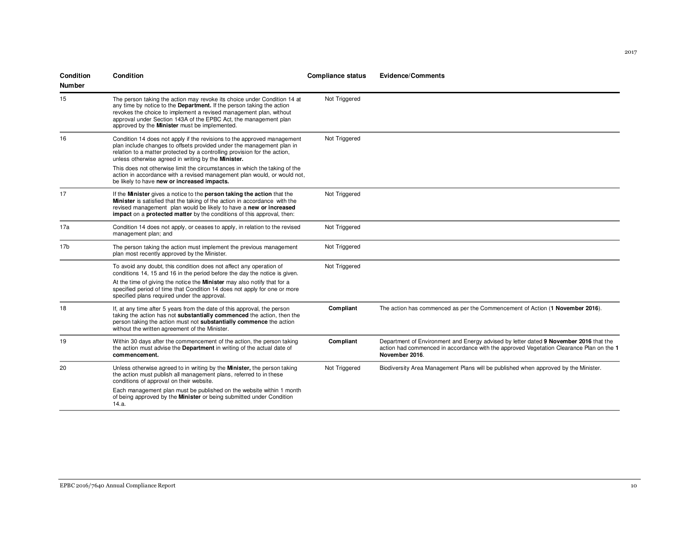| Condition<br>Number | Condition                                                                                                                                                                                                                                                                                                                                    | <b>Compliance status</b> | <b>Evidence/Comments</b>                                                                                                                                                                           |
|---------------------|----------------------------------------------------------------------------------------------------------------------------------------------------------------------------------------------------------------------------------------------------------------------------------------------------------------------------------------------|--------------------------|----------------------------------------------------------------------------------------------------------------------------------------------------------------------------------------------------|
| 15                  | The person taking the action may revoke its choice under Condition 14 at<br>any time by notice to the Department. If the person taking the action<br>revokes the choice to implement a revised management plan, without<br>approval under Section 143A of the EPBC Act, the management plan<br>approved by the Minister must be implemented. | Not Triggered            |                                                                                                                                                                                                    |
| 16                  | Condition 14 does not apply if the revisions to the approved management<br>plan include changes to offsets provided under the management plan in<br>relation to a matter protected by a controlling provision for the action,<br>unless otherwise agreed in writing by the Minister.                                                         | Not Triggered            |                                                                                                                                                                                                    |
|                     | This does not otherwise limit the circumstances in which the taking of the<br>action in accordance with a revised management plan would, or would not,<br>be likely to have new or increased impacts.                                                                                                                                        |                          |                                                                                                                                                                                                    |
| 17                  | If the Minister gives a notice to the person taking the action that the<br>Minister is satisfied that the taking of the action in accordance with the<br>revised management plan would be likely to have a new or increased<br>impact on a protected matter by the conditions of this approval, then:                                        | Not Triggered            |                                                                                                                                                                                                    |
| 17a                 | Condition 14 does not apply, or ceases to apply, in relation to the revised<br>management plan; and                                                                                                                                                                                                                                          | Not Triggered            |                                                                                                                                                                                                    |
| 17 <sub>b</sub>     | The person taking the action must implement the previous management<br>plan most recently approved by the Minister.                                                                                                                                                                                                                          | Not Triggered            |                                                                                                                                                                                                    |
|                     | To avoid any doubt, this condition does not affect any operation of<br>conditions 14, 15 and 16 in the period before the day the notice is given.                                                                                                                                                                                            | Not Triggered            |                                                                                                                                                                                                    |
|                     | At the time of giving the notice the <b>Minister</b> may also notify that for a<br>specified period of time that Condition 14 does not apply for one or more<br>specified plans required under the approval.                                                                                                                                 |                          |                                                                                                                                                                                                    |
| 18                  | If, at any time after 5 years from the date of this approval, the person<br>taking the action has not substantially commenced the action, then the<br>person taking the action must not substantially commence the action<br>without the written agreement of the Minister.                                                                  | Compliant                | The action has commenced as per the Commencement of Action (1 November 2016).                                                                                                                      |
| 19                  | Within 30 days after the commencement of the action, the person taking<br>the action must advise the Department in writing of the actual date of<br>commencement.                                                                                                                                                                            | Compliant                | Department of Environment and Energy advised by letter dated 9 November 2016 that the<br>action had commenced in accordance with the approved Vegetation Clearance Plan on the 1<br>November 2016. |
| 20                  | Unless otherwise agreed to in writing by the Minister, the person taking<br>the action must publish all management plans, referred to in these<br>conditions of approval on their website.                                                                                                                                                   | Not Triggered            | Biodiversity Area Management Plans will be published when approved by the Minister.                                                                                                                |
|                     | Each management plan must be published on the website within 1 month<br>of being approved by the Minister or being submitted under Condition<br>14.a.                                                                                                                                                                                        |                          |                                                                                                                                                                                                    |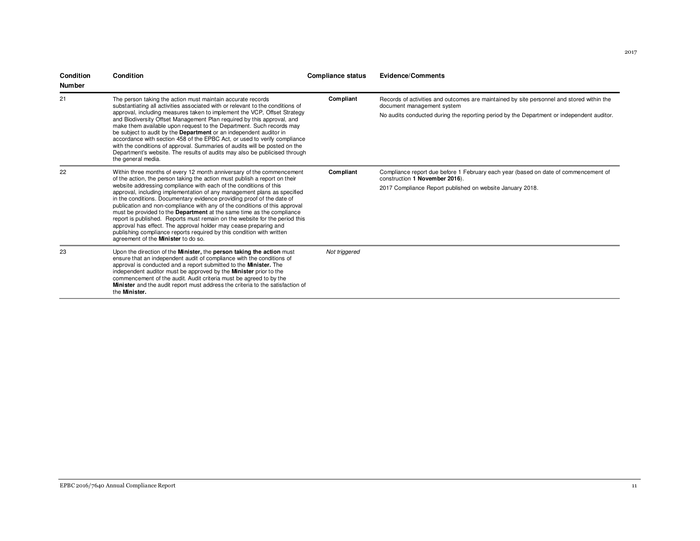| Condition<br><b>Number</b> | Condition                                                                                                                                                                                                                                                                                                                                                                                                                                                                                                                                                                                                                                                                                                                                                                                               | <b>Compliance status</b> | <b>Evidence/Comments</b>                                                                                                                                                                                             |
|----------------------------|---------------------------------------------------------------------------------------------------------------------------------------------------------------------------------------------------------------------------------------------------------------------------------------------------------------------------------------------------------------------------------------------------------------------------------------------------------------------------------------------------------------------------------------------------------------------------------------------------------------------------------------------------------------------------------------------------------------------------------------------------------------------------------------------------------|--------------------------|----------------------------------------------------------------------------------------------------------------------------------------------------------------------------------------------------------------------|
| 21                         | The person taking the action must maintain accurate records<br>substantiating all activities associated with or relevant to the conditions of<br>approval, including measures taken to implement the VCP, Offset Strategy<br>and Biodiversity Offset Management Plan required by this approval, and<br>make them available upon request to the Department. Such records may<br>be subject to audit by the Department or an independent auditor in<br>accordance with section 458 of the EPBC Act, or used to verify compliance<br>with the conditions of approval. Summaries of audits will be posted on the<br>Department's website. The results of audits may also be publicised through<br>the general media.                                                                                        | Compliant                | Records of activities and outcomes are maintained by site personnel and stored within the<br>document management system<br>No audits conducted during the reporting period by the Department or independent auditor. |
| 22                         | Within three months of every 12 month anniversary of the commencement<br>of the action, the person taking the action must publish a report on their<br>website addressing compliance with each of the conditions of this<br>approval, including implementation of any management plans as specified<br>in the conditions. Documentary evidence providing proof of the date of<br>publication and non-compliance with any of the conditions of this approval<br>must be provided to the Department at the same time as the compliance<br>report is published. Reports must remain on the website for the period this<br>approval has effect. The approval holder may cease preparing and<br>publishing compliance reports required by this condition with written<br>agreement of the Minister to do so. | Compliant                | Compliance report due before 1 February each year (based on date of commencement of<br>construction 1 November 2016).<br>2017 Compliance Report published on website January 2018.                                   |
| 23                         | Upon the direction of the Minister, the person taking the action must<br>ensure that an independent audit of compliance with the conditions of<br>approval is conducted and a report submitted to the Minister. The<br>independent auditor must be approved by the Minister prior to the<br>commencement of the audit. Audit criteria must be agreed to by the<br>Minister and the audit report must address the criteria to the satisfaction of<br>the <b>Minister.</b>                                                                                                                                                                                                                                                                                                                                | Not triggered            |                                                                                                                                                                                                                      |